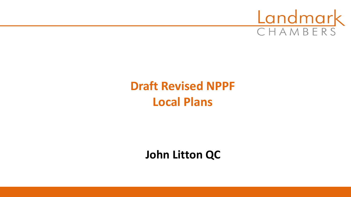

# **Draft Revised NPPF Local Plans**

**John Litton QC**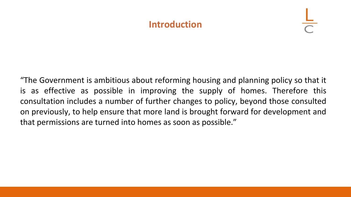#### **Introduction**

"The Government is ambitious about reforming housing and planning policy so that it is as effective as possible in improving the supply of homes. Therefore this consultation includes a number of further changes to policy, beyond those consulted on previously, to help ensure that more land is brought forward for development and that permissions are turned into homes as soon as possible."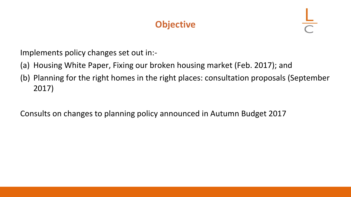# **Objective**

Implements policy changes set out in:-

- (a) Housing White Paper, Fixing our broken housing market (Feb. 2017); and
- (b) Planning for the right homes in the right places: consultation proposals (September 2017)

Consults on changes to planning policy announced in Autumn Budget 2017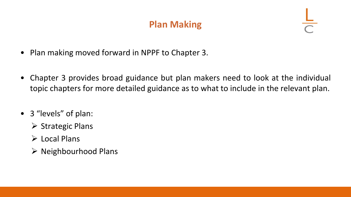# **Plan Making**

- Plan making moved forward in NPPF to Chapter 3.
- Chapter 3 provides broad guidance but plan makers need to look at the individual topic chapters for more detailed guidance as to what to include in the relevant plan.
- 3 "levels" of plan:
	- ➢ Strategic Plans
	- ➢ Local Plans
	- $\triangleright$  Neighbourhood Plans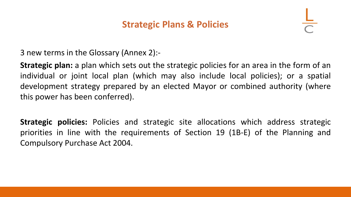### **Strategic Plans & Policies**

3 new terms in the Glossary (Annex 2):-

**Strategic plan:** a plan which sets out the strategic policies for an area in the form of an individual or joint local plan (which may also include local policies); or a spatial development strategy prepared by an elected Mayor or combined authority (where this power has been conferred).

**Strategic policies:** Policies and strategic site allocations which address strategic priorities in line with the requirements of Section 19 (1B-E) of the Planning and Compulsory Purchase Act 2004.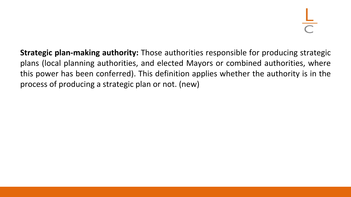**Strategic plan-making authority:** Those authorities responsible for producing strategic plans (local planning authorities, and elected Mayors or combined authorities, where this power has been conferred). This definition applies whether the authority is in the process of producing a strategic plan or not. (new)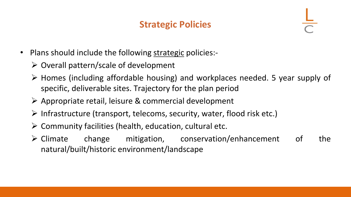# **Strategic Policies**

- Plans should include the following strategic policies:-
	- ➢ Overall pattern/scale of development
	- ➢ Homes (including affordable housing) and workplaces needed. 5 year supply of specific, deliverable sites. Trajectory for the plan period
	- ➢ Appropriate retail, leisure & commercial development
	- ➢ Infrastructure (transport, telecoms, security, water, flood risk etc.)
	- $\triangleright$  Community facilities (health, education, cultural etc.
	- ➢ Climate change mitigation, conservation/enhancement of the natural/built/historic environment/landscape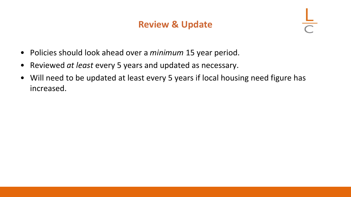### **Review & Update**

- Policies should look ahead over a *minimum* 15 year period.
- Reviewed *at least* every 5 years and updated as necessary.
- Will need to be updated at least every 5 years if local housing need figure has increased.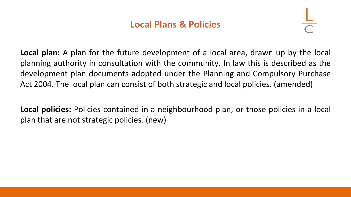### **Local Plans & Policies**

**Local plan:** A plan for the future development of a local area, drawn up by the local planning authority in consultation with the community. In law this is described as the development plan documents adopted under the Planning and Compulsory Purchase Act 2004. The local plan can consist of both strategic and local policies. (amended)

**Local policies:** Policies contained in a neighbourhood plan, or those policies in a local plan that are not strategic policies. (new)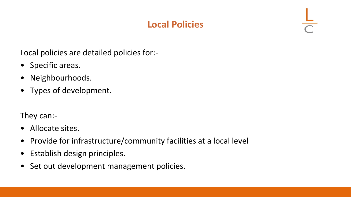# **Local Policies**

Local policies are detailed policies for:-

- Specific areas.
- Neighbourhoods.
- Types of development.

They can:-

- Allocate sites.
- Provide for infrastructure/community facilities at a local level
- Establish design principles.
- Set out development management policies.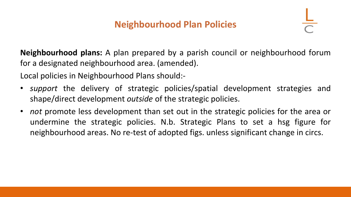# **Neighbourhood Plan Policies**

**Neighbourhood plans:** A plan prepared by a parish council or neighbourhood forum for a designated neighbourhood area. (amended).

Local policies in Neighbourhood Plans should:-

- *support* the delivery of strategic policies/spatial development strategies and shape/direct development *outside* of the strategic policies.
- *not* promote less development than set out in the strategic policies for the area or undermine the strategic policies. N.b. Strategic Plans to set a hsg figure for neighbourhood areas. No re-test of adopted figs. unless significant change in circs.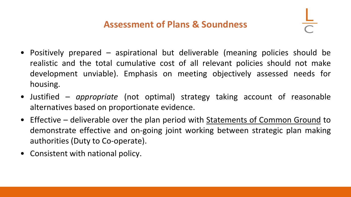# **Assessment of Plans & Soundness**

- Positively prepared aspirational but deliverable (meaning policies should be realistic and the total cumulative cost of all relevant policies should not make development unviable). Emphasis on meeting objectively assessed needs for housing.
- Justified *appropriate* (not optimal) strategy taking account of reasonable alternatives based on proportionate evidence.
- Effective deliverable over the plan period with **Statements of Common Ground** to demonstrate effective and on-going joint working between strategic plan making authorities (Duty to Co-operate).
- Consistent with national policy.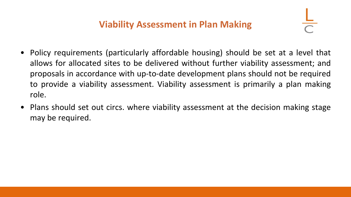# **Viability Assessment in Plan Making**

- Policy requirements (particularly affordable housing) should be set at a level that allows for allocated sites to be delivered without further viability assessment; and proposals in accordance with up-to-date development plans should not be required to provide a viability assessment. Viability assessment is primarily a plan making role.
- Plans should set out circs. where viability assessment at the decision making stage may be required.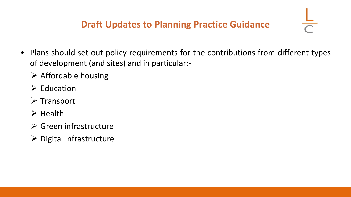- Plans should set out policy requirements for the contributions from different types of development (and sites) and in particular:-
	- $\triangleright$  Affordable housing
	- $\triangleright$  Education
	- ➢ Transport
	- ➢ Health
	- ➢ Green infrastructure
	- $\triangleright$  Digital infrastructure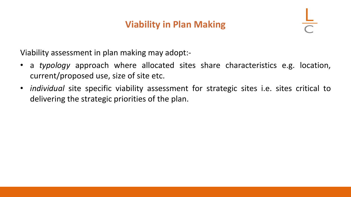# **Viability in Plan Making**

Viability assessment in plan making may adopt:-

- a *typology* approach where allocated sites share characteristics e.g. location, current/proposed use, size of site etc.
- *individual* site specific viability assessment for strategic sites i.e. sites critical to delivering the strategic priorities of the plan.